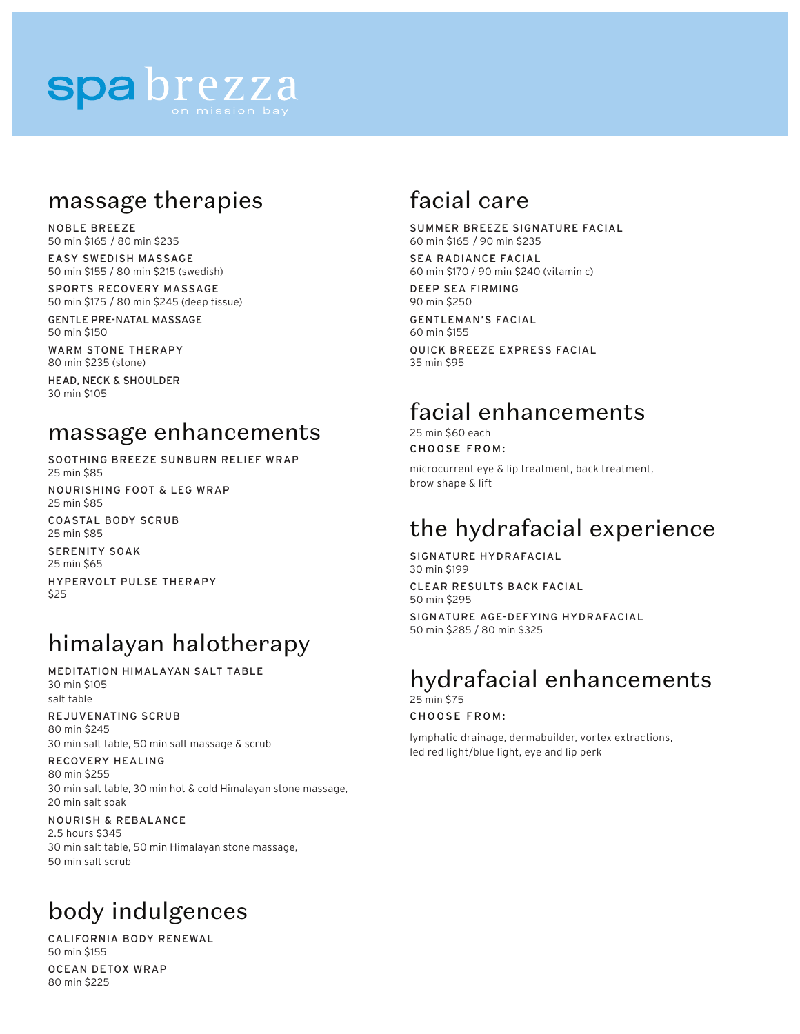# spa brezza

## massage therapies

NOBLE BREEZE 50 min \$165 / 80 min \$235

EASY SWEDISH MASSAGE 50 min \$155 / 80 min \$215 (swedish)

SPORTS RECOVERY MASSAGE 50 min \$175 / 80 min \$245 (deep tissue)

GENTLE PRE-NATAL MASSAGE 50 min \$150

WARM STONE THERAPY 80 min \$235 (stone)

HEAD, NECK & SHOULDER 30 min \$105

## massage enhancements

SOOTHING BREEZE SUNBURN RELIEF WRAP 25 min \$85

NOURISHING FOOT & LEG WRAP 25 min \$85

COASTAL BODY SCRUB 25 min \$85

SERENITY SOAK

25 min \$65

HYPERVOLT PULSE THERAPY \$25

# himalayan halotherapy

MEDITATION HIMALAYAN SALT TABLE 30 min \$105 salt table

### REJUVENATING SCRUB

80 min \$245 30 min salt table, 50 min salt massage & scrub

### RECOVERY HEALING

80 min \$255 30 min salt table, 30 min hot & cold Himalayan stone massage, 20 min salt soak

#### NOURISH & REBALANCE 2.5 hours \$345 30 min salt table, 50 min Himalayan stone massage, 50 min salt scrub

# body indulgences

CALIFORNIA BODY RENEWAL 50 min \$155

OCEAN DETOX WRAP 80 min \$225

# facial care

SUMMER BREEZE SIGNATURE FACIAL 60 min \$165 / 90 min \$235

SEA RADIANCE FACIAL 60 min \$170 / 90 min \$240 (vitamin c)

DEEP SEA FIRMING 90 min \$250

GENTLEMAN'S FACIAL 60 min \$155

QUICK BREEZE EXPRESS FACIAL 35 min \$95

# facial enhancements

25 min \$60 each CHOOSE FROM:

microcurrent eye & lip treatment, back treatment, brow shape & lift

# the hydrafacial experience

SIGNATURE HYDRAFACIAL 30 min \$199

CLEAR RESULTS BACK FACIAL 50 min \$295

SIGNATURE AGE-DEFYING HYDRAFACIAL 50 min \$285 / 80 min \$325

## hydrafacial enhancements 25 min \$75

CHOOSE FROM:

lymphatic drainage, dermabuilder, vortex extractions, led red light/blue light, eye and lip perk